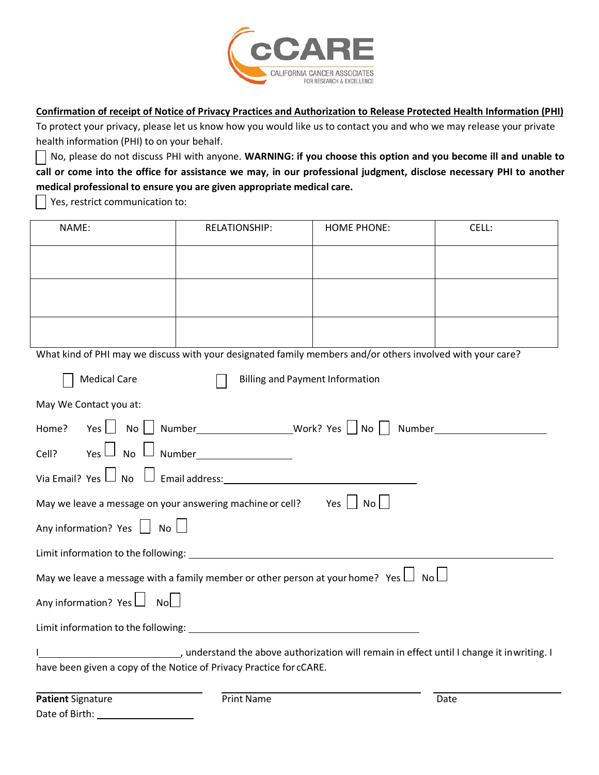

**Confirmation of receipt of Notice of Privacy Practices and Authorization to Release Protected Health Information (PHI)**

To protect your privacy, please let us know how you would like us to contact you and who we may release your private health information (PHI) to on your behalf.

No, please do not discuss PHI with anyone. **WARNING: if you choose this option and you become ill and unable to call or come into the office for assistance we may, in our professional judgment, disclose necessary PHI to another medical professional to ensure you are given appropriate medical care.**

Yes, restrict communication to:

| NAME:                                                                                                      | <b>RELATIONSHIP:</b> | <b>HOME PHONE:</b> | CELL: |
|------------------------------------------------------------------------------------------------------------|----------------------|--------------------|-------|
|                                                                                                            |                      |                    |       |
|                                                                                                            |                      |                    |       |
|                                                                                                            |                      |                    |       |
|                                                                                                            |                      |                    |       |
| What kind of PHI may we discuss with your designated family members and/or others involved with your care? |                      |                    |       |
| <b>Medical Care</b><br><b>Billing and Payment Information</b>                                              |                      |                    |       |
| May We Contact you at:                                                                                     |                      |                    |       |
|                                                                                                            |                      |                    |       |
|                                                                                                            |                      |                    |       |
|                                                                                                            |                      |                    |       |
| May we leave a message on your answering machine or cell? Yes $\Box$ No $\Box$                             |                      |                    |       |
| Any information? Yes $\Box$ No $\Box$                                                                      |                      |                    |       |
|                                                                                                            |                      |                    |       |
| May we leave a message with a family member or other person at your home? Yes $\Box$ No $\Box$             |                      |                    |       |
| Any information? Yes $\Box$ No $\Box$                                                                      |                      |                    |       |
|                                                                                                            |                      |                    |       |
| , understand the above authorization will remain in effect until I change it inwriting. I                  |                      |                    |       |
| have been given a copy of the Notice of Privacy Practice for cCARE.                                        |                      |                    |       |
| <b>Patient Signature</b>                                                                                   | <b>Print Name</b>    |                    | Date  |
| Date of Birth:                                                                                             |                      |                    |       |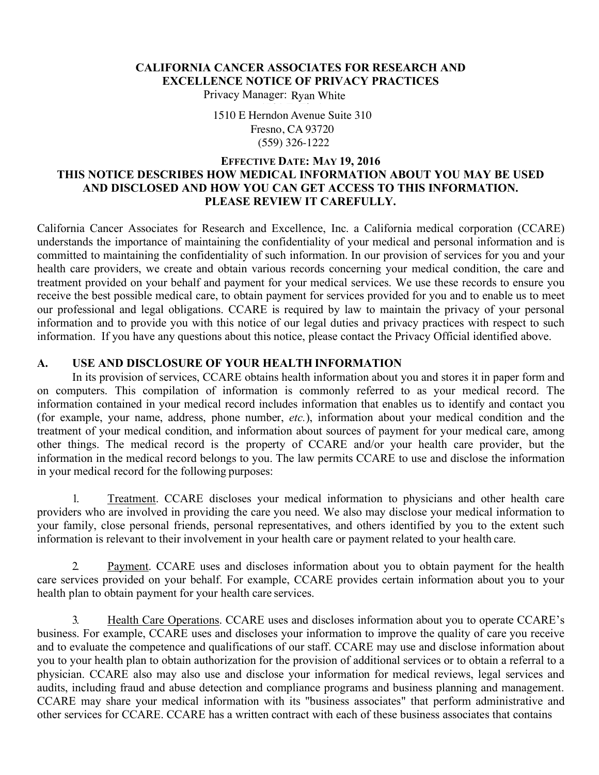# **CALIFORNIA CANCER ASSOCIATES FOR RESEARCH AND EXCELLENCE NOTICE OF PRIVACY PRACTICES**

Privacy Manager: Ryan White

1510 E Herndon Avenue Suite 310 Fresno, CA 93720 Fresno, CA 93720 (559)326-1222 (559) 326-1222

#### **EFFECTIVE DATE: MAY 19, 2016 THIS NOTICE DESCRIBES HOW MEDICAL INFORMATION ABOUT YOU MAY BE USED AND DISCLOSED AND HOW YOU CAN GET ACCESS TO THIS INFORMATION. PLEASE REVIEW IT CAREFULLY.**

California Cancer Associates for Research and Excellence, Inc. a California medical corporation (CCARE) understands the importance of maintaining the confidentiality of your medical and personal information and is committed to maintaining the confidentiality of such information. In our provision of services for you and your health care providers, we create and obtain various records concerning your medical condition, the care and treatment provided on your behalf and payment for your medical services. We use these records to ensure you receive the best possible medical care, to obtain payment for services provided for you and to enable us to meet our professional and legal obligations. CCARE is required by law to maintain the privacy of your personal information and to provide you with this notice of our legal duties and privacy practices with respect to such information. If you have any questions about this notice, please contact the Privacy Official identified above.

# **A. USE AND DISCLOSURE OF YOUR HEALTH INFORMATION**

In its provision of services, CCARE obtains health information about you and stores it in paper form and on computers. This compilation of information is commonly referred to as your medical record. The information contained in your medical record includes information that enables us to identify and contact you (for example, your name, address, phone number, *etc.*), information about your medical condition and the treatment of your medical condition, and information about sources of payment for your medical care, among other things. The medical record is the property of CCARE and/or your health care provider, but the information in the medical record belongs to you. The law permits CCARE to use and disclose the information in your medical record for the following purposes:

1. Treatment. CCARE discloses your medical information to physicians and other health care providers who are involved in providing the care you need. We also may disclose your medical information to your family, close personal friends, personal representatives, and others identified by you to the extent such information is relevant to their involvement in your health care or payment related to your health care.

2. Payment. CCARE uses and discloses information about you to obtain payment for the health care services provided on your behalf. For example, CCARE provides certain information about you to your health plan to obtain payment for your health care services.

3. Health Care Operations. CCARE uses and discloses information about you to operate CCARE's business. For example, CCARE uses and discloses your information to improve the quality of care you receive and to evaluate the competence and qualifications of our staff. CCARE may use and disclose information about you to your health plan to obtain authorization for the provision of additional services or to obtain a referral to a physician. CCARE also may also use and disclose your information for medical reviews, legal services and audits, including fraud and abuse detection and compliance programs and business planning and management. CCARE may share your medical information with its "business associates" that perform administrative and other services for CCARE. CCARE has a written contract with each of these business associates that contains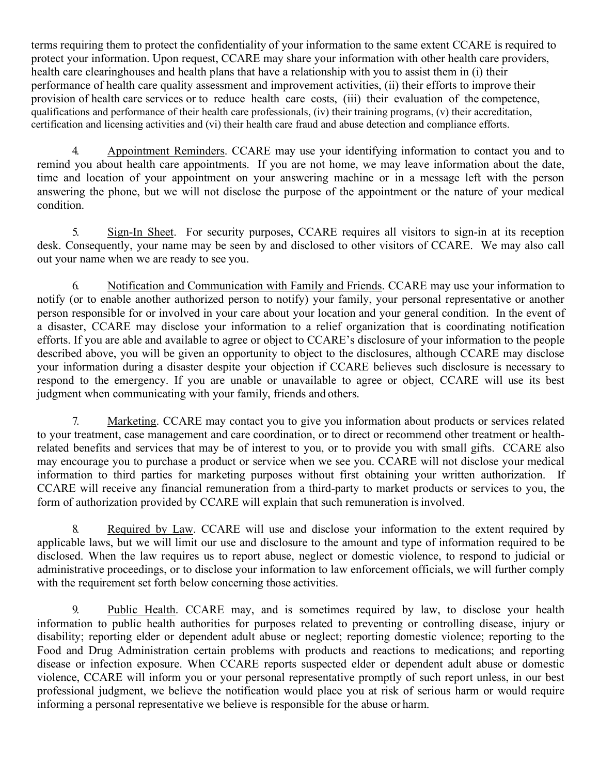terms requiring them to protect the confidentiality of your information to the same extent CCARE is required to protect your information. Upon request, CCARE may share your information with other health care providers, health care clearinghouses and health plans that have a relationship with you to assist them in (i) their performance of health care quality assessment and improvement activities, (ii) their efforts to improve their provision of health care services or to reduce health care costs, (iii) their evaluation of the competence, qualifications and performance of their health care professionals, (iv) their training programs, (v) their accreditation, certification and licensing activities and (vi) their health care fraud and abuse detection and compliance efforts.

4. Appointment Reminders. CCARE may use your identifying information to contact you and to remind you about health care appointments. If you are not home, we may leave information about the date, time and location of your appointment on your answering machine or in a message left with the person answering the phone, but we will not disclose the purpose of the appointment or the nature of your medical condition.

5. Sign-In Sheet. For security purposes, CCARE requires all visitors to sign-in at its reception desk. Consequently, your name may be seen by and disclosed to other visitors of CCARE. We may also call out your name when we are ready to see you.

6. Notification and Communication with Family and Friends. CCARE may use your information to notify (or to enable another authorized person to notify) your family, your personal representative or another person responsible for or involved in your care about your location and your general condition. In the event of a disaster, CCARE may disclose your information to a relief organization that is coordinating notification efforts. If you are able and available to agree or object to CCARE's disclosure of your information to the people described above, you will be given an opportunity to object to the disclosures, although CCARE may disclose your information during a disaster despite your objection if CCARE believes such disclosure is necessary to respond to the emergency. If you are unable or unavailable to agree or object, CCARE will use its best judgment when communicating with your family, friends and others.

7. Marketing. CCARE may contact you to give you information about products or services related to your treatment, case management and care coordination, or to direct or recommend other treatment or healthrelated benefits and services that may be of interest to you, or to provide you with small gifts. CCARE also may encourage you to purchase a product or service when we see you. CCARE will not disclose your medical information to third parties for marketing purposes without first obtaining your written authorization. If CCARE will receive any financial remuneration from a third-party to market products or services to you, the form of authorization provided by CCARE will explain that such remuneration isinvolved.

8. Required by Law. CCARE will use and disclose your information to the extent required by applicable laws, but we will limit our use and disclosure to the amount and type of information required to be disclosed. When the law requires us to report abuse, neglect or domestic violence, to respond to judicial or administrative proceedings, or to disclose your information to law enforcement officials, we will further comply with the requirement set forth below concerning those activities.

9. Public Health. CCARE may, and is sometimes required by law, to disclose your health information to public health authorities for purposes related to preventing or controlling disease, injury or disability; reporting elder or dependent adult abuse or neglect; reporting domestic violence; reporting to the Food and Drug Administration certain problems with products and reactions to medications; and reporting disease or infection exposure. When CCARE reports suspected elder or dependent adult abuse or domestic violence, CCARE will inform you or your personal representative promptly of such report unless, in our best professional judgment, we believe the notification would place you at risk of serious harm or would require informing a personal representative we believe is responsible for the abuse or harm.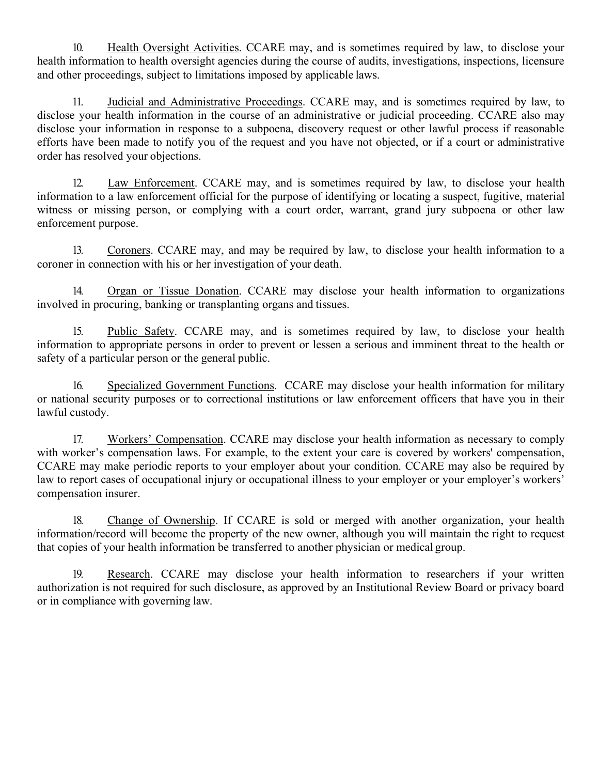10. Health Oversight Activities. CCARE may, and is sometimes required by law, to disclose your health information to health oversight agencies during the course of audits, investigations, inspections, licensure and other proceedings, subject to limitations imposed by applicable laws.

11. Judicial and Administrative Proceedings. CCARE may, and is sometimes required by law, to disclose your health information in the course of an administrative or judicial proceeding. CCARE also may disclose your information in response to a subpoena, discovery request or other lawful process if reasonable efforts have been made to notify you of the request and you have not objected, or if a court or administrative order has resolved your objections.

12. Law Enforcement. CCARE may, and is sometimes required by law, to disclose your health information to a law enforcement official for the purpose of identifying or locating a suspect, fugitive, material witness or missing person, or complying with a court order, warrant, grand jury subpoena or other law enforcement purpose.

13. Coroners. CCARE may, and may be required by law, to disclose your health information to a coroner in connection with his or her investigation of your death.

14. Organ or Tissue Donation. CCARE may disclose your health information to organizations involved in procuring, banking or transplanting organs and tissues.

15. Public Safety. CCARE may, and is sometimes required by law, to disclose your health information to appropriate persons in order to prevent or lessen a serious and imminent threat to the health or safety of a particular person or the general public.

16. Specialized Government Functions. CCARE may disclose your health information for military or national security purposes or to correctional institutions or law enforcement officers that have you in their lawful custody.

17. Workers' Compensation. CCARE may disclose your health information as necessary to comply with worker's compensation laws. For example, to the extent your care is covered by workers' compensation, CCARE may make periodic reports to your employer about your condition. CCARE may also be required by law to report cases of occupational injury or occupational illness to your employer or your employer's workers' compensation insurer.

18. Change of Ownership. If CCARE is sold or merged with another organization, your health information/record will become the property of the new owner, although you will maintain the right to request that copies of your health information be transferred to another physician or medical group.

19. Research. CCARE may disclose your health information to researchers if your written authorization is not required for such disclosure, as approved by an Institutional Review Board or privacy board or in compliance with governing law.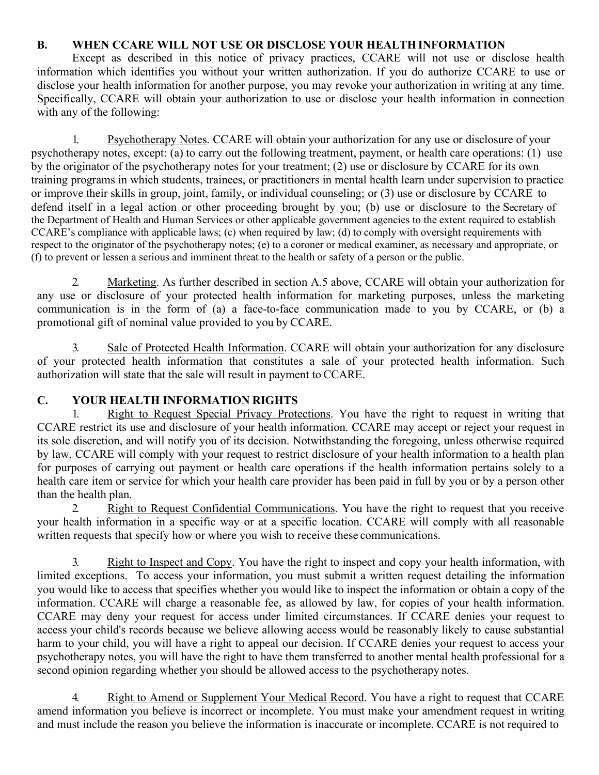# **B. WHEN CCARE WILL NOT USE OR DISCLOSE YOUR HEALTH INFORMATION**

Except as described in this notice of privacy practices, CCARE will not use or disclose health information which identifies you without your written authorization. If you do authorize CCARE to use or disclose your health information for another purpose, you may revoke your authorization in writing at any time. Specifically, CCARE will obtain your authorization to use or disclose your health information in connection with any of the following:

1. Psychotherapy Notes. CCARE will obtain your authorization for any use or disclosure of your psychotherapy notes, except: (a) to carry out the following treatment, payment, or health care operations: (1) use by the originator of the psychotherapy notes for your treatment; (2) use or disclosure by CCARE for its own training programs in which students, trainees, or practitioners in mental health learn under supervision to practice or improve their skills in group, joint, family, or individual counseling; or (3) use or disclosure by CCARE to defend itself in a legal action or other proceeding brought by you; (b) use or disclosure to the Secretary of the Department of Health and Human Services or other applicable government agencies to the extent required to establish CCARE's compliance with applicable laws; (c) when required by law; (d) to comply with oversight requirements with respect to the originator of the psychotherapy notes; (e) to a coroner or medical examiner, as necessary and appropriate, or (f) to prevent or lessen a serious and imminent threat to the health or safety of a person or the public.

2. Marketing. As further described in section A.5 above, CCARE will obtain your authorization for any use or disclosure of your protected health information for marketing purposes, unless the marketing communication is in the form of (a) a face-to-face communication made to you by CCARE, or (b) a promotional gift of nominal value provided to you by CCARE.

3. Sale of Protected Health Information. CCARE will obtain your authorization for any disclosure of your protected health information that constitutes a sale of your protected health information. Such authorization will state that the sale will result in payment to CCARE.

# **C. YOUR HEALTH INFORMATION RIGHTS**

1. Right to Request Special Privacy Protections. You have the right to request in writing that CCARE restrict its use and disclosure of your health information. CCARE may accept or reject your request in its sole discretion, and will notify you of its decision. Notwithstanding the foregoing, unless otherwise required by law, CCARE will comply with your request to restrict disclosure of your health information to a health plan for purposes of carrying out payment or health care operations if the health information pertains solely to a health care item or service for which your health care provider has been paid in full by you or by a person other than the health plan.

2. Right to Request Confidential Communications. You have the right to request that you receive your health information in a specific way or at a specific location. CCARE will comply with all reasonable written requests that specify how or where you wish to receive these communications.

3. Right to Inspect and Copy. You have the right to inspect and copy your health information, with limited exceptions. To access your information, you must submit a written request detailing the information you would like to access that specifies whether you would like to inspect the information or obtain a copy of the information. CCARE will charge a reasonable fee, as allowed by law, for copies of your health information. CCARE may deny your request for access under limited circumstances. If CCARE denies your request to access your child's records because we believe allowing access would be reasonably likely to cause substantial harm to your child, you will have a right to appeal our decision. If CCARE denies your request to access your psychotherapy notes, you will have the right to have them transferred to another mental health professional for a second opinion regarding whether you should be allowed access to the psychotherapy notes.

Right to Amend or Supplement Your Medical Record. You have a right to request that CCARE amend information you believe is incorrect or incomplete. You must make your amendment request in writing and must include the reason you believe the information is inaccurate or incomplete. CCARE is not required to